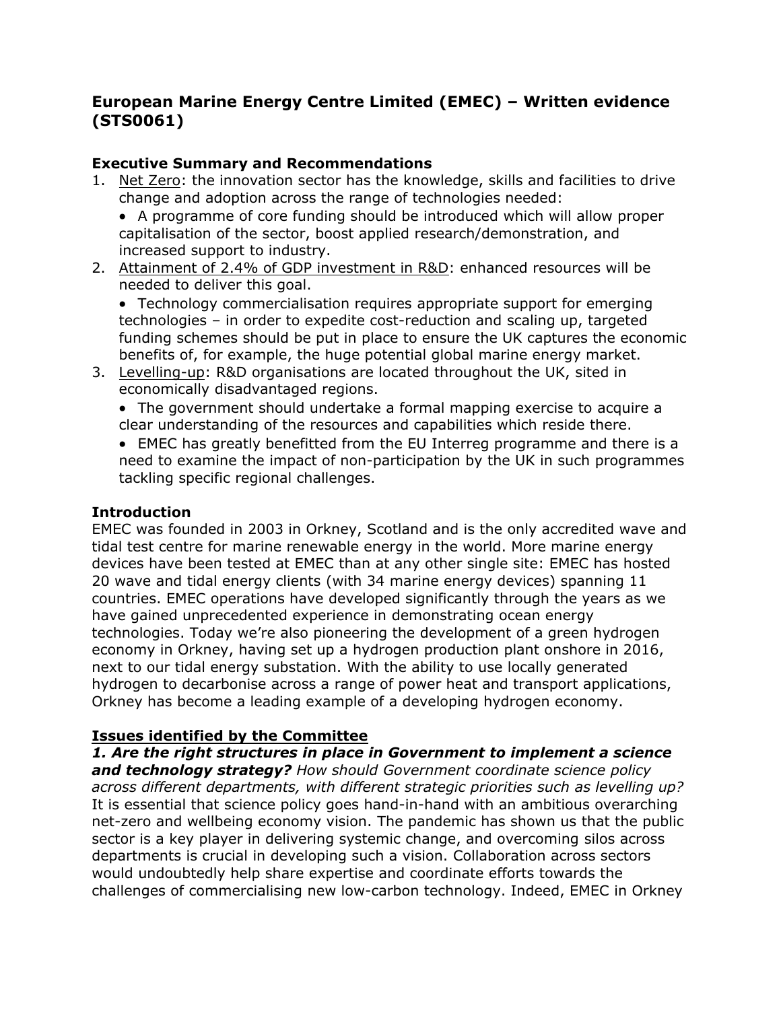# **European Marine Energy Centre Limited (EMEC) – Written evidence (STS0061)**

# **Executive Summary and Recommendations**

- 1. Net Zero: the innovation sector has the knowledge, skills and facilities to drive change and adoption across the range of technologies needed:
	- A programme of core funding should be introduced which will allow proper capitalisation of the sector, boost applied research/demonstration, and increased support to industry.
- 2. Attainment of 2.4% of GDP investment in R&D: enhanced resources will be needed to deliver this goal.

 Technology commercialisation requires appropriate support for emerging technologies – in order to expedite cost-reduction and scaling up, targeted funding schemes should be put in place to ensure the UK captures the economic benefits of, for example, the huge potential global marine energy market.

3. Levelling-up: R&D organisations are located throughout the UK, sited in economically disadvantaged regions.

 The government should undertake a formal mapping exercise to acquire a clear understanding of the resources and capabilities which reside there.

 EMEC has greatly benefitted from the EU Interreg programme and there is a need to examine the impact of non-participation by the UK in such programmes tackling specific regional challenges.

## **Introduction**

EMEC was founded in 2003 in Orkney, Scotland and is the only accredited wave and tidal test centre for marine renewable energy in the world. More marine energy devices have been tested at EMEC than at any other single site: EMEC has hosted 20 wave and tidal energy clients (with 34 marine energy devices) spanning 11 countries. EMEC operations have developed significantly through the years as we have gained unprecedented experience in demonstrating ocean energy technologies. Today we're also pioneering the development of a green hydrogen economy in Orkney, having set up a hydrogen production plant onshore in 2016, next to our tidal energy substation. With the ability to use locally generated hydrogen to decarbonise across a range of power heat and transport applications, Orkney has become a leading example of a developing hydrogen economy.

# **Issues identified by the Committee**

*1. Are the right structures in place in Government to implement a science and technology strategy? How should Government coordinate science policy across different departments, with different strategic priorities such as levelling up?* It is essential that science policy goes hand-in-hand with an ambitious overarching net-zero and wellbeing economy vision. The pandemic has shown us that the public sector is a key player in delivering systemic change, and overcoming silos across departments is crucial in developing such a vision. Collaboration across sectors would undoubtedly help share expertise and coordinate efforts towards the challenges of commercialising new low-carbon technology. Indeed, EMEC in Orkney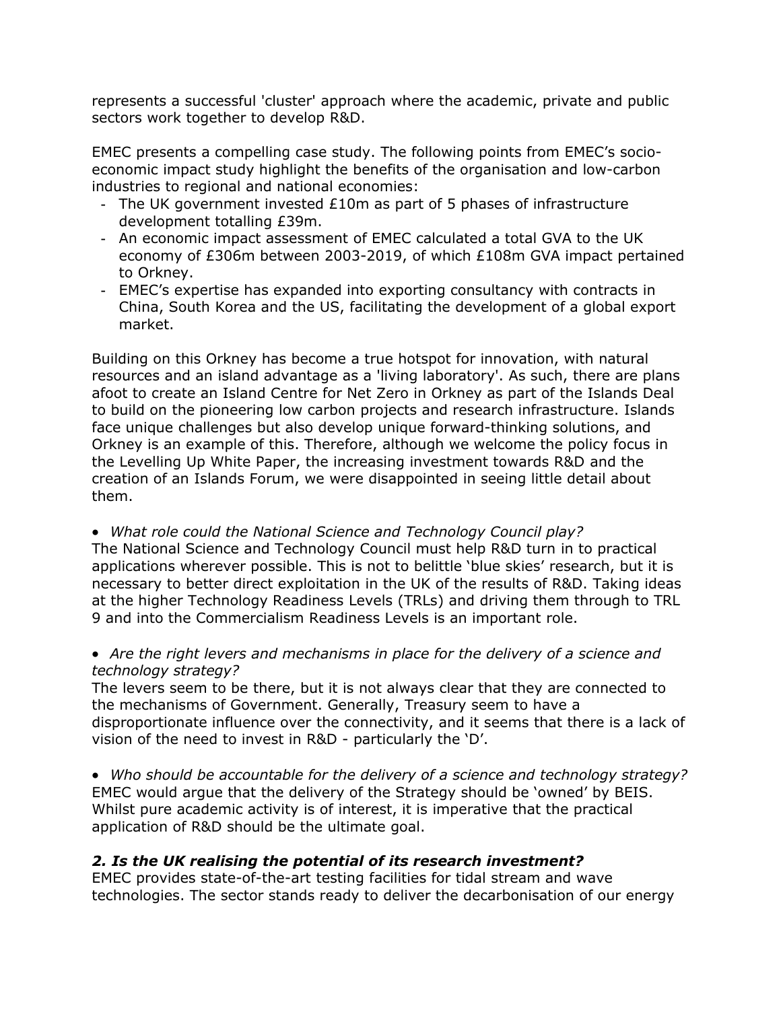represents a successful 'cluster' approach where the academic, private and public sectors work together to develop R&D.

EMEC presents a compelling case study. The following points from EMEC's socioeconomic impact study highlight the benefits of the organisation and low-carbon industries to regional and national economies:

- The UK government invested £10m as part of 5 phases of infrastructure development totalling £39m.
- An economic impact assessment of EMEC calculated a total GVA to the UK economy of £306m between 2003-2019, of which £108m GVA impact pertained to Orkney.
- EMEC's expertise has expanded into exporting consultancy with contracts in China, South Korea and the US, facilitating the development of a global export market.

Building on this Orkney has become a true hotspot for innovation, with natural resources and an island advantage as a 'living laboratory'. As such, there are plans afoot to create an Island Centre for Net Zero in Orkney as part of the Islands Deal to build on the pioneering low carbon projects and research infrastructure. Islands face unique challenges but also develop unique forward-thinking solutions, and Orkney is an example of this. Therefore, although we welcome the policy focus in the Levelling Up White Paper, the increasing investment towards R&D and the creation of an Islands Forum, we were disappointed in seeing little detail about them.

*What role could the National Science and Technology Council play?*

The National Science and Technology Council must help R&D turn in to practical applications wherever possible. This is not to belittle 'blue skies' research, but it is necessary to better direct exploitation in the UK of the results of R&D. Taking ideas at the higher Technology Readiness Levels (TRLs) and driving them through to TRL 9 and into the Commercialism Readiness Levels is an important role.

### *Are the right levers and mechanisms in place for the delivery of a science and technology strategy?*

The levers seem to be there, but it is not always clear that they are connected to the mechanisms of Government. Generally, Treasury seem to have a disproportionate influence over the connectivity, and it seems that there is a lack of vision of the need to invest in R&D - particularly the 'D'.

 *Who should be accountable for the delivery of a science and technology strategy?* EMEC would argue that the delivery of the Strategy should be 'owned' by BEIS. Whilst pure academic activity is of interest, it is imperative that the practical application of R&D should be the ultimate goal.

# *2. Is the UK realising the potential of its research investment?*

EMEC provides state-of-the-art testing facilities for tidal stream and wave technologies. The sector stands ready to deliver the decarbonisation of our energy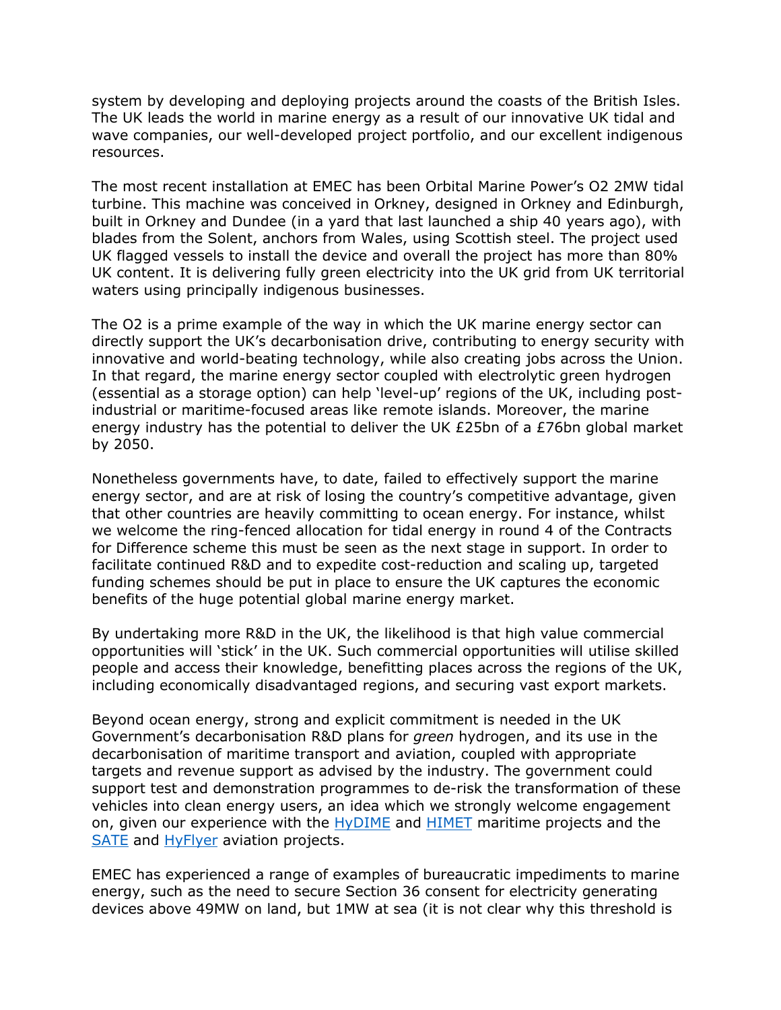system by developing and deploying projects around the coasts of the British Isles. The UK leads the world in marine energy as a result of our innovative UK tidal and wave companies, our well-developed project portfolio, and our excellent indigenous resources.

The most recent installation at EMEC has been Orbital Marine Power's O2 2MW tidal turbine. This machine was conceived in Orkney, designed in Orkney and Edinburgh, built in Orkney and Dundee (in a yard that last launched a ship 40 years ago), with blades from the Solent, anchors from Wales, using Scottish steel. The project used UK flagged vessels to install the device and overall the project has more than 80% UK content. It is delivering fully green electricity into the UK grid from UK territorial waters using principally indigenous businesses.

The O2 is a prime example of the way in which the UK marine energy sector can directly support the UK's decarbonisation drive, contributing to energy security with innovative and world-beating technology, while also creating jobs across the Union. In that regard, the marine energy sector coupled with electrolytic green hydrogen (essential as a storage option) can help 'level-up' regions of the UK, including postindustrial or maritime-focused areas like remote islands. Moreover, the marine energy industry has the potential to deliver the UK £25bn of a £76bn global market by 2050.

Nonetheless governments have, to date, failed to effectively support the marine energy sector, and are at risk of losing the country's competitive advantage, given that other countries are heavily committing to ocean energy. For instance, whilst we welcome the ring-fenced allocation for tidal energy in round 4 of the Contracts for Difference scheme this must be seen as the next stage in support. In order to facilitate continued R&D and to expedite cost-reduction and scaling up, targeted funding schemes should be put in place to ensure the UK captures the economic benefits of the huge potential global marine energy market.

By undertaking more R&D in the UK, the likelihood is that high value commercial opportunities will 'stick' in the UK. Such commercial opportunities will utilise skilled people and access their knowledge, benefitting places across the regions of the UK, including economically disadvantaged regions, and securing vast export markets.

Beyond ocean energy, strong and explicit commitment is needed in the UK Government's decarbonisation R&D plans for *green* hydrogen, and its use in the decarbonisation of maritime transport and aviation, coupled with appropriate targets and revenue support as advised by the industry. The government could support test and demonstration programmes to de-risk the transformation of these vehicles into clean energy users, an idea which we strongly welcome engagement on, given our experience with the [HyDIME](http://www.emec.org.uk/projects/hydrogen-projects/hydime/) and [HIMET](https://www.emec.org.uk/projects/hydrogen-projects/himet/) maritime projects and the [SATE](https://www.emec.org.uk/projects/energy-systems-projects/sate/) and [HyFlyer](https://www.emec.org.uk/projects/hydrogen-projects/hyflyer/) aviation projects.

EMEC has experienced a range of examples of bureaucratic impediments to marine energy, such as the need to secure Section 36 consent for electricity generating devices above 49MW on land, but 1MW at sea (it is not clear why this threshold is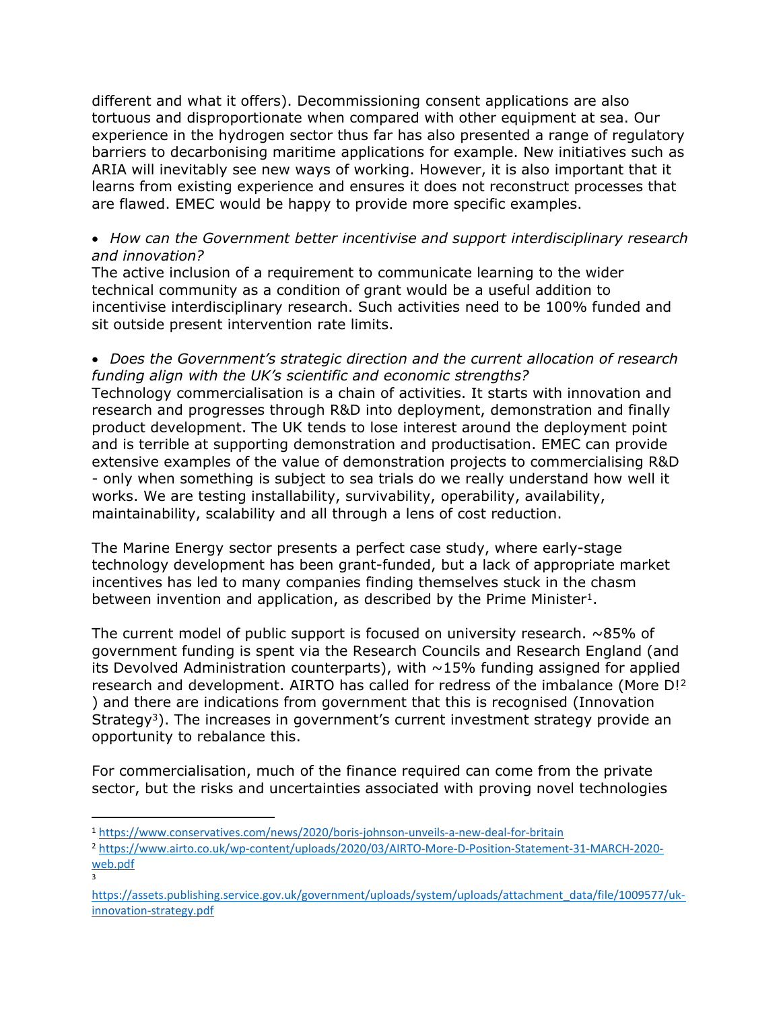different and what it offers). Decommissioning consent applications are also tortuous and disproportionate when compared with other equipment at sea. Our experience in the hydrogen sector thus far has also presented a range of regulatory barriers to decarbonising maritime applications for example. New initiatives such as ARIA will inevitably see new ways of working. However, it is also important that it learns from existing experience and ensures it does not reconstruct processes that are flawed. EMEC would be happy to provide more specific examples.

### *How can the Government better incentivise and support interdisciplinary research and innovation?*

The active inclusion of a requirement to communicate learning to the wider technical community as a condition of grant would be a useful addition to incentivise interdisciplinary research. Such activities need to be 100% funded and sit outside present intervention rate limits.

 *Does the Government's strategic direction and the current allocation of research funding align with the UK's scientific and economic strengths?*

Technology commercialisation is a chain of activities. It starts with innovation and research and progresses through R&D into deployment, demonstration and finally product development. The UK tends to lose interest around the deployment point and is terrible at supporting demonstration and productisation. EMEC can provide extensive examples of the value of demonstration projects to commercialising R&D - only when something is subject to sea trials do we really understand how well it works. We are testing installability, survivability, operability, availability, maintainability, scalability and all through a lens of cost reduction.

The Marine Energy sector presents a perfect case study, where early-stage technology development has been grant-funded, but a lack of appropriate market incentives has led to many companies finding themselves stuck in the chasm between invention and application, as described by the Prime Minister<sup>1</sup>.

The current model of public support is focused on university research.  $\sim$ 85% of government funding is spent via the Research Councils and Research England (and its Devolved Administration counterparts), with  $\sim$ 15% funding assigned for applied research and development. AIRTO has called for redress of the imbalance (More D!<sup>2</sup> ) and there are indications from government that this is recognised (Innovation Strategy<sup>3</sup>). The increases in government's current investment strategy provide an opportunity to rebalance this.

For commercialisation, much of the finance required can come from the private sector, but the risks and uncertainties associated with proving novel technologies

3

<sup>1</sup> <https://www.conservatives.com/news/2020/boris-johnson-unveils-a-new-deal-for-britain>

<sup>2</sup> [https://www.airto.co.uk/wp-content/uploads/2020/03/AIRTO-More-D-Position-Statement-31-MARCH-2020](https://www.airto.co.uk/wp-content/uploads/2020/03/AIRTO-More-D-Position-Statement-31-MARCH-2020-web.pdf) [web.pdf](https://www.airto.co.uk/wp-content/uploads/2020/03/AIRTO-More-D-Position-Statement-31-MARCH-2020-web.pdf)

[https://assets.publishing.service.gov.uk/government/uploads/system/uploads/attachment\\_data/file/1009577/uk](https://assets.publishing.service.gov.uk/government/uploads/system/uploads/attachment_data/file/1009577/uk-innovation-strategy.pdf)[innovation-strategy.pdf](https://assets.publishing.service.gov.uk/government/uploads/system/uploads/attachment_data/file/1009577/uk-innovation-strategy.pdf)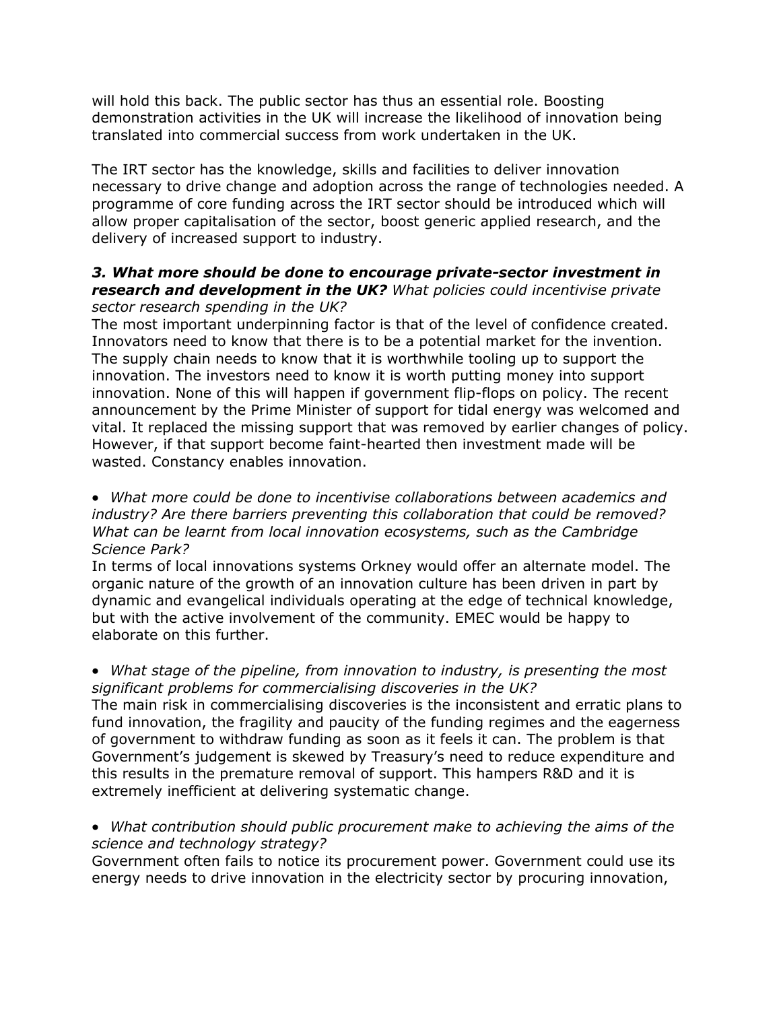will hold this back. The public sector has thus an essential role. Boosting demonstration activities in the UK will increase the likelihood of innovation being translated into commercial success from work undertaken in the UK.

The IRT sector has the knowledge, skills and facilities to deliver innovation necessary to drive change and adoption across the range of technologies needed. A programme of core funding across the IRT sector should be introduced which will allow proper capitalisation of the sector, boost generic applied research, and the delivery of increased support to industry.

#### *3. What more should be done to encourage private-sector investment in research and development in the UK? What policies could incentivise private sector research spending in the UK?*

The most important underpinning factor is that of the level of confidence created. Innovators need to know that there is to be a potential market for the invention. The supply chain needs to know that it is worthwhile tooling up to support the innovation. The investors need to know it is worth putting money into support innovation. None of this will happen if government flip-flops on policy. The recent announcement by the Prime Minister of support for tidal energy was welcomed and vital. It replaced the missing support that was removed by earlier changes of policy. However, if that support become faint-hearted then investment made will be wasted. Constancy enables innovation.

#### *What more could be done to incentivise collaborations between academics and industry? Are there barriers preventing this collaboration that could be removed? What can be learnt from local innovation ecosystems, such as the Cambridge Science Park?*

In terms of local innovations systems Orkney would offer an alternate model. The organic nature of the growth of an innovation culture has been driven in part by dynamic and evangelical individuals operating at the edge of technical knowledge, but with the active involvement of the community. EMEC would be happy to elaborate on this further.

### *What stage of the pipeline, from innovation to industry, is presenting the most significant problems for commercialising discoveries in the UK?*

The main risk in commercialising discoveries is the inconsistent and erratic plans to fund innovation, the fragility and paucity of the funding regimes and the eagerness of government to withdraw funding as soon as it feels it can. The problem is that Government's judgement is skewed by Treasury's need to reduce expenditure and this results in the premature removal of support. This hampers R&D and it is extremely inefficient at delivering systematic change.

 *What contribution should public procurement make to achieving the aims of the science and technology strategy?*

Government often fails to notice its procurement power. Government could use its energy needs to drive innovation in the electricity sector by procuring innovation,